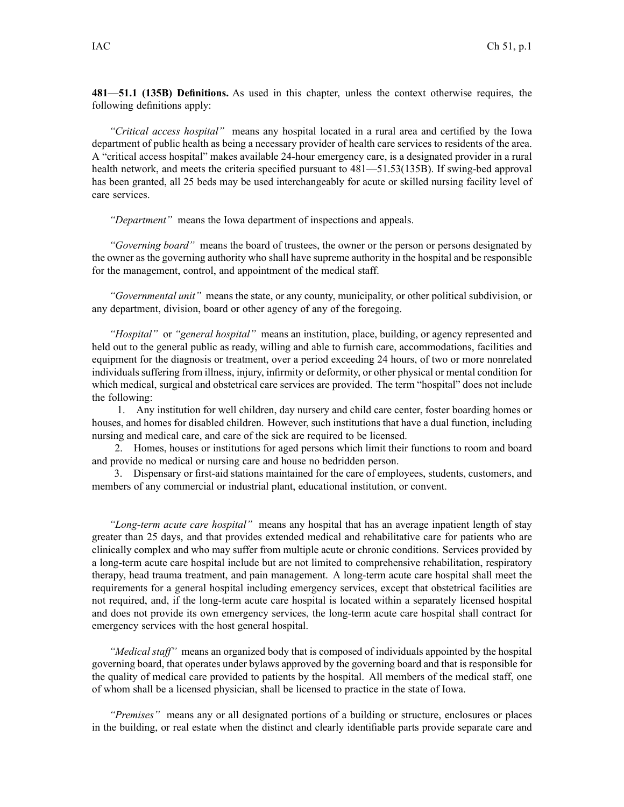**481—51.1 (135B) Definitions.** As used in this chapter, unless the context otherwise requires, the following definitions apply:

*"Critical access hospital"* means any hospital located in <sup>a</sup> rural area and certified by the Iowa department of public health as being <sup>a</sup> necessary provider of health care services to residents of the area. A "critical access hospital" makes available 24-hour emergency care, is <sup>a</sup> designated provider in <sup>a</sup> rural health network, and meets the criteria specified pursuan<sup>t</sup> to 481—51.53(135B). If swing-bed approval has been granted, all 25 beds may be used interchangeably for acute or skilled nursing facility level of care services.

*"Department"* means the Iowa department of inspections and appeals.

*"Governing board"* means the board of trustees, the owner or the person or persons designated by the owner as the governing authority who shall have supreme authority in the hospital and be responsible for the management, control, and appointment of the medical staff.

*"Governmental unit"* means the state, or any county, municipality, or other political subdivision, or any department, division, board or other agency of any of the foregoing.

*"Hospital"* or *"general hospital"* means an institution, place, building, or agency represented and held out to the general public as ready, willing and able to furnish care, accommodations, facilities and equipment for the diagnosis or treatment, over <sup>a</sup> period exceeding 24 hours, of two or more nonrelated individualssuffering from illness, injury, infirmity or deformity, or other physical or mental condition for which medical, surgical and obstetrical care services are provided. The term "hospital" does not include the following:

1. Any institution for well children, day nursery and child care center, foster boarding homes or houses, and homes for disabled children. However, such institutions that have <sup>a</sup> dual function, including nursing and medical care, and care of the sick are required to be licensed.

2. Homes, houses or institutions for aged persons which limit their functions to room and board and provide no medical or nursing care and house no bedridden person.

3. Dispensary or first-aid stations maintained for the care of employees, students, customers, and members of any commercial or industrial plant, educational institution, or convent.

*"Long-term acute care hospital"* means any hospital that has an average inpatient length of stay greater than 25 days, and that provides extended medical and rehabilitative care for patients who are clinically complex and who may suffer from multiple acute or chronic conditions. Services provided by <sup>a</sup> long-term acute care hospital include but are not limited to comprehensive rehabilitation, respiratory therapy, head trauma treatment, and pain management. A long-term acute care hospital shall meet the requirements for <sup>a</sup> general hospital including emergency services, excep<sup>t</sup> that obstetrical facilities are not required, and, if the long-term acute care hospital is located within <sup>a</sup> separately licensed hospital and does not provide its own emergency services, the long-term acute care hospital shall contract for emergency services with the host general hospital.

*"Medical staff"* means an organized body that is composed of individuals appointed by the hospital governing board, that operates under bylaws approved by the governing board and that is responsible for the quality of medical care provided to patients by the hospital. All members of the medical staff, one of whom shall be <sup>a</sup> licensed physician, shall be licensed to practice in the state of Iowa.

*"Premises"* means any or all designated portions of <sup>a</sup> building or structure, enclosures or places in the building, or real estate when the distinct and clearly identifiable parts provide separate care and